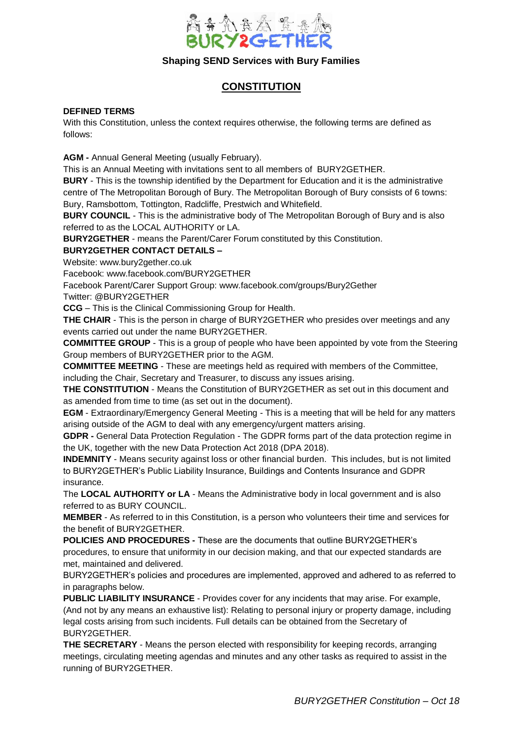

# **CONSTITUTION**

### **DEFINED TERMS**

With this Constitution, unless the context requires otherwise, the following terms are defined as follows:

**AGM -** Annual General Meeting (usually February).

This is an Annual Meeting with invitations sent to all members of BURY2GETHER.

**BURY** - This is the township identified by the Department for Education and it is the administrative centre of The Metropolitan Borough of Bury. The Metropolitan Borough of Bury consists of 6 towns: Bury, Ramsbottom, Tottington, Radcliffe, Prestwich and Whitefield.

**BURY COUNCIL** - This is the administrative body of The Metropolitan Borough of Bury and is also referred to as the LOCAL AUTHORITY or LA.

**BURY2GETHER** - means the Parent/Carer Forum constituted by this Constitution.

# **BURY2GETHER CONTACT DETAILS –**

Website: www.bury2gether.co.uk

Facebook: [www.facebook.com/BURY2GETHER](http://www.facebook.com/BURY2GETHER)

Facebook Parent/Carer Support Group: [www.facebook.com/groups/Bury2Gether](http://www.facebook.com/groups/Bury2Gether)

Twitter: @BURY2GETHER

**CCG** – This is the Clinical Commissioning Group for Health.

**THE CHAIR** - This is the person in charge of BURY2GETHER who presides over meetings and any events carried out under the name BURY2GETHER.

**COMMITTEE GROUP** - This is a group of people who have been appointed by vote from the Steering Group members of BURY2GETHER prior to the AGM.

**COMMITTEE MEETING** - These are meetings held as required with members of the Committee, including the Chair, Secretary and Treasurer, to discuss any issues arising.

**THE CONSTITUTION** - Means the Constitution of BURY2GETHER as set out in this document and as amended from time to time (as set out in the document).

**EGM** - Extraordinary/Emergency General Meeting - This is a meeting that will be held for any matters arising outside of the AGM to deal with any emergency/urgent matters arising.

**GDPR -** General Data Protection Regulation - The GDPR forms part of the data protection regime in the UK, together with the new Data Protection Act 2018 (DPA 2018).

**INDEMNITY** - Means security against loss or other financial burden. This includes, but is not limited to BURY2GETHER's Public Liability Insurance, Buildings and Contents Insurance and GDPR insurance.

The **LOCAL AUTHORITY or LA** - Means the Administrative body in local government and is also referred to as BURY COUNCIL.

**MEMBER** - As referred to in this Constitution, is a person who volunteers their time and services for the benefit of BURY2GETHER.

**POLICIES AND PROCEDURES -** These are the documents that outline BURY2GETHER's procedures, to ensure that uniformity in our decision making, and that our expected standards are met, maintained and delivered.

BURY2GETHER's policies and procedures are implemented, approved and adhered to as referred to in paragraphs below.

**PUBLIC LIABILITY INSURANCE** - Provides cover for any incidents that may arise. For example, (And not by any means an exhaustive list): Relating to personal injury or property damage, including legal costs arising from such incidents. Full details can be obtained from the Secretary of BURY2GETHER.

**THE SECRETARY** - Means the person elected with responsibility for keeping records, arranging meetings, circulating meeting agendas and minutes and any other tasks as required to assist in the running of BURY2GETHER.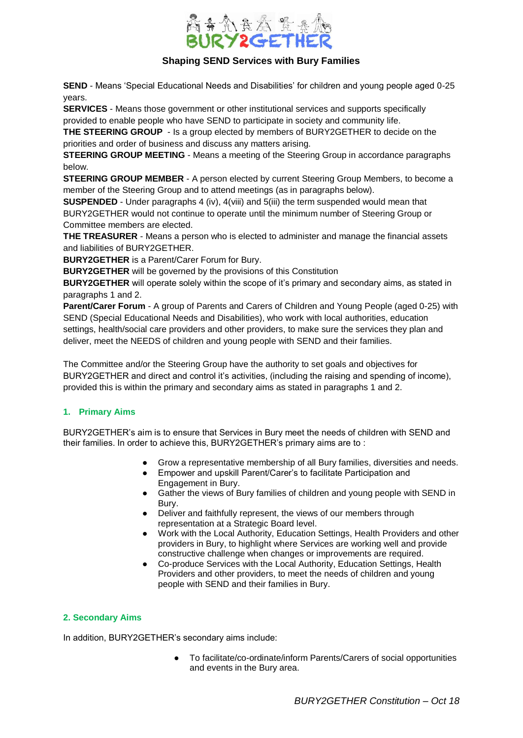

**SEND** - Means 'Special Educational Needs and Disabilities' for children and young people aged 0-25 years.

**SERVICES** - Means those government or other institutional services and supports specifically provided to enable people who have SEND to participate in society and community life.

**THE STEERING GROUP** - Is a group elected by members of BURY2GETHER to decide on the priorities and order of business and discuss any matters arising.

**STEERING GROUP MEETING** - Means a meeting of the Steering Group in accordance paragraphs below.

**STEERING GROUP MEMBER** - A person elected by current Steering Group Members, to become a member of the Steering Group and to attend meetings (as in paragraphs below).

**SUSPENDED** - Under paragraphs 4 (iv), 4(viii) and 5(iii) the term suspended would mean that BURY2GETHER would not continue to operate until the minimum number of Steering Group or Committee members are elected.

**THE TREASURER** - Means a person who is elected to administer and manage the financial assets and liabilities of BURY2GETHER.

**BURY2GETHER** is a Parent/Carer Forum for Bury.

**BURY2GETHER** will be governed by the provisions of this Constitution

**BURY2GETHER** will operate solely within the scope of it's primary and secondary aims, as stated in paragraphs 1 and 2.

**Parent/Carer Forum** - A group of Parents and Carers of Children and Young People (aged 0-25) with SEND (Special Educational Needs and Disabilities), who work with local authorities, education settings, health/social care providers and other providers, to make sure the services they plan and deliver, meet the NEEDS of children and young people with SEND and their families.

The Committee and/or the Steering Group have the authority to set goals and objectives for BURY2GETHER and direct and control it's activities, (including the raising and spending of income), provided this is within the primary and secondary aims as stated in paragraphs 1 and 2.

# **1. Primary Aims**

BURY2GETHER's aim is to ensure that Services in Bury meet the needs of children with SEND and their families. In order to achieve this, BURY2GETHER's primary aims are to :

- Grow a representative membership of all Bury families, diversities and needs.
- Empower and upskill Parent/Carer's to facilitate Participation and Engagement in Bury.
- Gather the views of Bury families of children and young people with SEND in Bury.
- Deliver and faithfully represent, the views of our members through representation at a Strategic Board level.
- Work with the Local Authority, Education Settings, Health Providers and other providers in Bury, to highlight where Services are working well and provide constructive challenge when changes or improvements are required.
- Co-produce Services with the Local Authority, Education Settings, Health Providers and other providers, to meet the needs of children and young people with SEND and their families in Bury.

# **2. Secondary Aims**

In addition, BURY2GETHER's secondary aims include:

To facilitate/co-ordinate/inform Parents/Carers of social opportunities and events in the Bury area.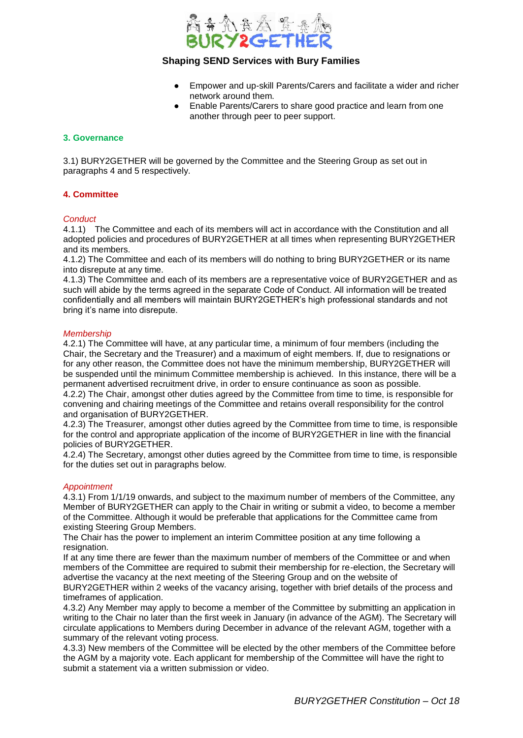

- Empower and up-skill Parents/Carers and facilitate a wider and richer network around them.
- Enable Parents/Carers to share good practice and learn from one another through peer to peer support.

### **3. Governance**

3.1) BURY2GETHER will be governed by the Committee and the Steering Group as set out in paragraphs 4 and 5 respectively.

### **4. Committee**

#### *Conduct*

4.1.1) The Committee and each of its members will act in accordance with the Constitution and all adopted policies and procedures of BURY2GETHER at all times when representing BURY2GETHER and its members.

4.1.2) The Committee and each of its members will do nothing to bring BURY2GETHER or its name into disrepute at any time.

4.1.3) The Committee and each of its members are a representative voice of BURY2GETHER and as such will abide by the terms agreed in the separate Code of Conduct. All information will be treated confidentially and all members will maintain BURY2GETHER's high professional standards and not bring it's name into disrepute.

#### *Membership*

4.2.1) The Committee will have, at any particular time, a minimum of four members (including the Chair, the Secretary and the Treasurer) and a maximum of eight members. If, due to resignations or for any other reason, the Committee does not have the minimum membership, BURY2GETHER will be suspended until the minimum Committee membership is achieved. In this instance, there will be a permanent advertised recruitment drive, in order to ensure continuance as soon as possible. 4.2.2) The Chair, amongst other duties agreed by the Committee from time to time, is responsible for convening and chairing meetings of the Committee and retains overall responsibility for the control

and organisation of BURY2GETHER. 4.2.3) The Treasurer, amongst other duties agreed by the Committee from time to time, is responsible for the control and appropriate application of the income of BURY2GETHER in line with the financial policies of BURY2GETHER.

4.2.4) The Secretary, amongst other duties agreed by the Committee from time to time, is responsible for the duties set out in paragraphs below.

#### *Appointment*

4.3.1) From 1/1/19 onwards, and subject to the maximum number of members of the Committee, any Member of BURY2GETHER can apply to the Chair in writing or submit a video, to become a member of the Committee. Although it would be preferable that applications for the Committee came from existing Steering Group Members.

The Chair has the power to implement an interim Committee position at any time following a resignation.

If at any time there are fewer than the maximum number of members of the Committee or and when members of the Committee are required to submit their membership for re-election, the Secretary will advertise the vacancy at the next meeting of the Steering Group and on the website of

BURY2GETHER within 2 weeks of the vacancy arising, together with brief details of the process and timeframes of application.

4.3.2) Any Member may apply to become a member of the Committee by submitting an application in writing to the Chair no later than the first week in January (in advance of the AGM). The Secretary will circulate applications to Members during December in advance of the relevant AGM, together with a summary of the relevant voting process.

4.3.3) New members of the Committee will be elected by the other members of the Committee before the AGM by a majority vote. Each applicant for membership of the Committee will have the right to submit a statement via a written submission or video.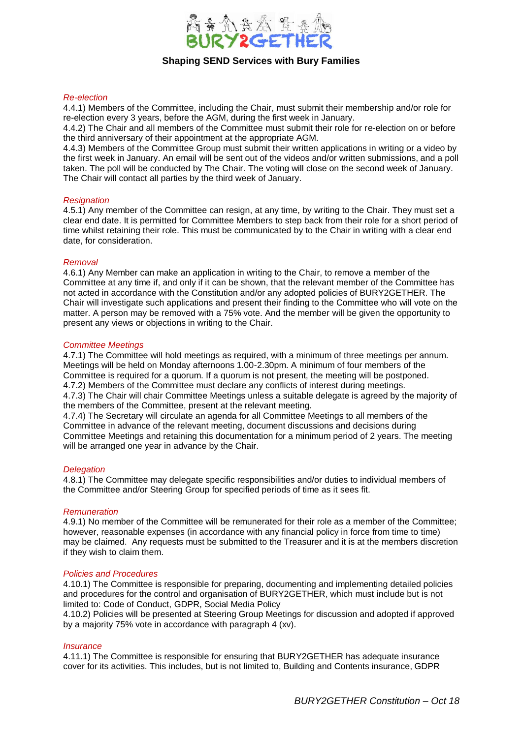

#### *Re-election*

4.4.1) Members of the Committee, including the Chair, must submit their membership and/or role for re-election every 3 years, before the AGM, during the first week in January.

4.4.2) The Chair and all members of the Committee must submit their role for re-election on or before the third anniversary of their appointment at the appropriate AGM.

4.4.3) Members of the Committee Group must submit their written applications in writing or a video by the first week in January. An email will be sent out of the videos and/or written submissions, and a poll taken. The poll will be conducted by The Chair. The voting will close on the second week of January. The Chair will contact all parties by the third week of January.

#### *Resignation*

4.5.1) Any member of the Committee can resign, at any time, by writing to the Chair. They must set a clear end date. It is permitted for Committee Members to step back from their role for a short period of time whilst retaining their role. This must be communicated by to the Chair in writing with a clear end date, for consideration.

#### *Removal*

4.6.1) Any Member can make an application in writing to the Chair, to remove a member of the Committee at any time if, and only if it can be shown, that the relevant member of the Committee has not acted in accordance with the Constitution and/or any adopted policies of BURY2GETHER. The Chair will investigate such applications and present their finding to the Committee who will vote on the matter. A person may be removed with a 75% vote. And the member will be given the opportunity to present any views or objections in writing to the Chair.

#### *Committee Meetings*

4.7.1) The Committee will hold meetings as required, with a minimum of three meetings per annum. Meetings will be held on Monday afternoons 1.00-2.30pm. A minimum of four members of the Committee is required for a quorum. If a quorum is not present, the meeting will be postponed. 4.7.2) Members of the Committee must declare any conflicts of interest during meetings. 4.7.3) The Chair will chair Committee Meetings unless a suitable delegate is agreed by the majority of the members of the Committee, present at the relevant meeting.

4.7.4) The Secretary will circulate an agenda for all Committee Meetings to all members of the Committee in advance of the relevant meeting, document discussions and decisions during Committee Meetings and retaining this documentation for a minimum period of 2 years. The meeting will be arranged one year in advance by the Chair.

#### *Delegation*

4.8.1) The Committee may delegate specific responsibilities and/or duties to individual members of the Committee and/or Steering Group for specified periods of time as it sees fit.

#### *Remuneration*

4.9.1) No member of the Committee will be remunerated for their role as a member of the Committee; however, reasonable expenses (in accordance with any financial policy in force from time to time) may be claimed. Any requests must be submitted to the Treasurer and it is at the members discretion if they wish to claim them.

#### *Policies and Procedures*

4.10.1) The Committee is responsible for preparing, documenting and implementing detailed policies and procedures for the control and organisation of BURY2GETHER, which must include but is not limited to: Code of Conduct, GDPR, Social Media Policy

4.10.2) Policies will be presented at Steering Group Meetings for discussion and adopted if approved by a majority 75% vote in accordance with paragraph 4 (xv).

#### *Insurance*

4.11.1) The Committee is responsible for ensuring that BURY2GETHER has adequate insurance cover for its activities. This includes, but is not limited to, Building and Contents insurance, GDPR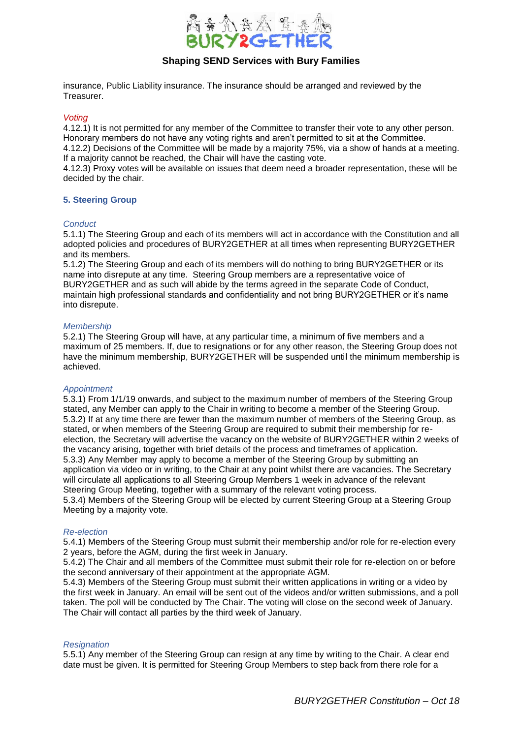

insurance, Public Liability insurance. The insurance should be arranged and reviewed by the Treasurer.

*Voting*

4.12.1) It is not permitted for any member of the Committee to transfer their vote to any other person. Honorary members do not have any voting rights and aren't permitted to sit at the Committee.

4.12.2) Decisions of the Committee will be made by a majority 75%, via a show of hands at a meeting. If a majority cannot be reached, the Chair will have the casting vote.

4.12.3) Proxy votes will be available on issues that deem need a broader representation, these will be decided by the chair.

#### **5. Steering Group**

#### *Conduct*

5.1.1) The Steering Group and each of its members will act in accordance with the Constitution and all adopted policies and procedures of BURY2GETHER at all times when representing BURY2GETHER and its members.

5.1.2) The Steering Group and each of its members will do nothing to bring BURY2GETHER or its name into disrepute at any time. Steering Group members are a representative voice of BURY2GETHER and as such will abide by the terms agreed in the separate Code of Conduct, maintain high professional standards and confidentiality and not bring BURY2GETHER or it's name into disrepute.

#### *Membership*

5.2.1) The Steering Group will have, at any particular time, a minimum of five members and a maximum of 25 members. If, due to resignations or for any other reason, the Steering Group does not have the minimum membership, BURY2GETHER will be suspended until the minimum membership is achieved.

#### *Appointment*

5.3.1) From 1/1/19 onwards, and subject to the maximum number of members of the Steering Group stated, any Member can apply to the Chair in writing to become a member of the Steering Group. 5.3.2) If at any time there are fewer than the maximum number of members of the Steering Group, as stated, or when members of the Steering Group are required to submit their membership for reelection, the Secretary will advertise the vacancy on the website of BURY2GETHER within 2 weeks of the vacancy arising, together with brief details of the process and timeframes of application. 5.3.3) Any Member may apply to become a member of the Steering Group by submitting an application via video or in writing, to the Chair at any point whilst there are vacancies. The Secretary will circulate all applications to all Steering Group Members 1 week in advance of the relevant Steering Group Meeting, together with a summary of the relevant voting process. 5.3.4) Members of the Steering Group will be elected by current Steering Group at a Steering Group Meeting by a majority vote.

#### *Re-election*

5.4.1) Members of the Steering Group must submit their membership and/or role for re-election every 2 years, before the AGM, during the first week in January.

5.4.2) The Chair and all members of the Committee must submit their role for re-election on or before the second anniversary of their appointment at the appropriate AGM.

5.4.3) Members of the Steering Group must submit their written applications in writing or a video by the first week in January. An email will be sent out of the videos and/or written submissions, and a poll taken. The poll will be conducted by The Chair. The voting will close on the second week of January. The Chair will contact all parties by the third week of January.

#### *Resignation*

5.5.1) Any member of the Steering Group can resign at any time by writing to the Chair. A clear end date must be given. It is permitted for Steering Group Members to step back from there role for a